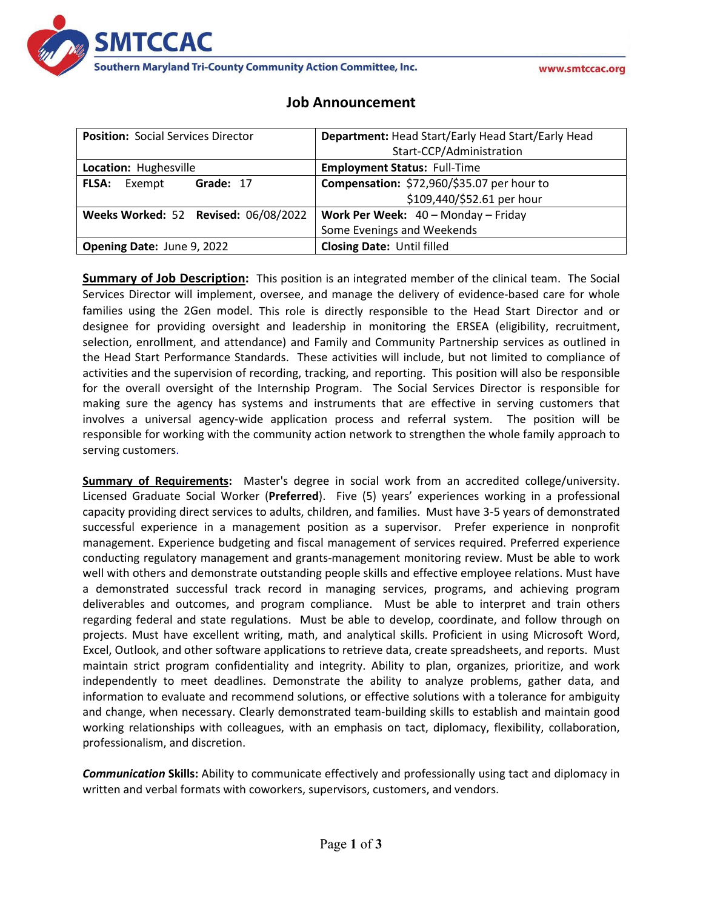

# **Job Announcement**

| <b>Position: Social Services Director</b> | Department: Head Start/Early Head Start/Early Head |
|-------------------------------------------|----------------------------------------------------|
|                                           | Start-CCP/Administration                           |
| Location: Hughesville                     | <b>Employment Status: Full-Time</b>                |
| Grade: 17<br><b>FLSA:</b><br>Exempt       | Compensation: \$72,960/\$35.07 per hour to         |
|                                           | \$109,440/\$52.61 per hour                         |
| Weeks Worked: 52 Revised: 06/08/2022      | Work Per Week: $40 -$ Monday - Friday              |
|                                           | Some Evenings and Weekends                         |
| Opening Date: June 9, 2022                | <b>Closing Date: Until filled</b>                  |

**Summary of Job Description:** This position is an integrated member of the clinical team. The Social Services Director will implement, oversee, and manage the delivery of evidence-based care for whole families using the 2Gen model. This role is directly responsible to the Head Start Director and or designee for providing oversight and leadership in monitoring the ERSEA (eligibility, recruitment, selection, enrollment, and attendance) and Family and Community Partnership services as outlined in the Head Start Performance Standards. These activities will include, but not limited to compliance of activities and the supervision of recording, tracking, and reporting. This position will also be responsible for the overall oversight of the Internship Program. The Social Services Director is responsible for making sure the agency has systems and instruments that are effective in serving customers that involves a universal agency-wide application process and referral system. The position will be responsible for working with the community action network to strengthen the whole family approach to serving customers.

**Summary of Requirements:** Master's degree in social work from an accredited college/university. Licensed Graduate Social Worker (**Preferred**). Five (5) years' experiences working in a professional capacity providing direct services to adults, children, and families. Must have 3-5 years of demonstrated successful experience in a management position as a supervisor. Prefer experience in nonprofit management. Experience budgeting and fiscal management of services required. Preferred experience conducting regulatory management and grants-management monitoring review. Must be able to work well with others and demonstrate outstanding people skills and effective employee relations. Must have a demonstrated successful track record in managing services, programs, and achieving program deliverables and outcomes, and program compliance. Must be able to interpret and train others regarding federal and state regulations. Must be able to develop, coordinate, and follow through on projects. Must have excellent writing, math, and analytical skills. Proficient in using Microsoft Word, Excel, Outlook, and other software applications to retrieve data, create spreadsheets, and reports. Must maintain strict program confidentiality and integrity. Ability to plan, organizes, prioritize, and work independently to meet deadlines. Demonstrate the ability to analyze problems, gather data, and information to evaluate and recommend solutions, or effective solutions with a tolerance for ambiguity and change, when necessary. Clearly demonstrated team-building skills to establish and maintain good working relationships with colleagues, with an emphasis on tact, diplomacy, flexibility, collaboration, professionalism, and discretion.

*Communication* **Skills:** Ability to communicate effectively and professionally using tact and diplomacy in written and verbal formats with coworkers, supervisors, customers, and vendors.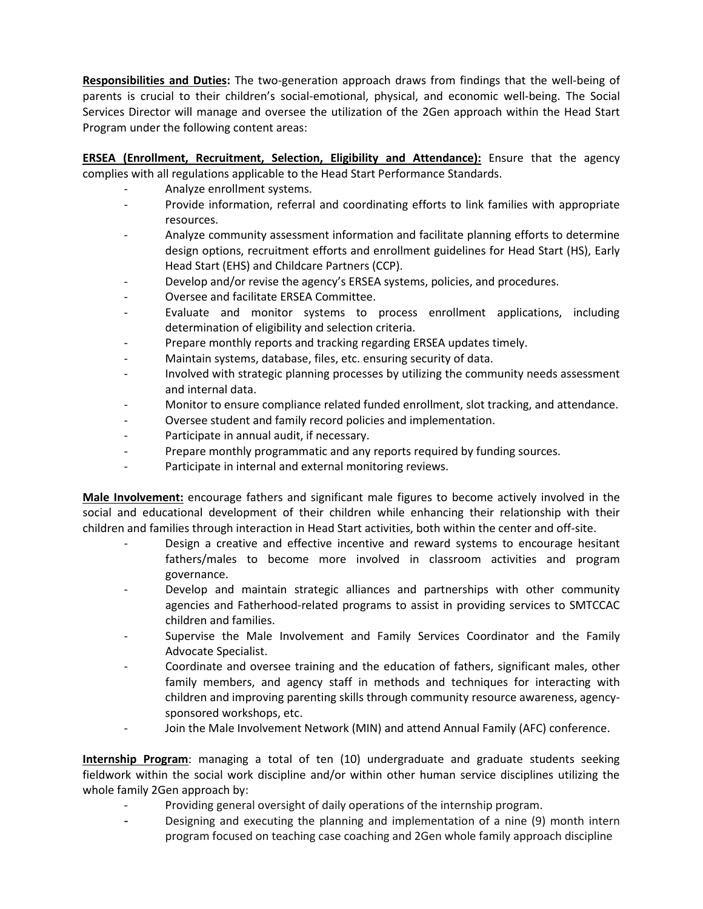**Responsibilities and Duties:** The two-generation approach draws from findings that the well-being of parents is crucial to their children's social-emotional, physical, and economic well-being. The Social Services Director will manage and oversee the utilization of the 2Gen approach within the Head Start Program under the following content areas:

**ERSEA (Enrollment, Recruitment, Selection, Eligibility and Attendance):** Ensure that the agency complies with all regulations applicable to the Head Start Performance Standards.

- Analyze enrollment systems.
- Provide information, referral and coordinating efforts to link families with appropriate resources.
- Analyze community assessment information and facilitate planning efforts to determine design options, recruitment efforts and enrollment guidelines for Head Start (HS), Early Head Start (EHS) and Childcare Partners (CCP).
- Develop and/or revise the agency's ERSEA systems, policies, and procedures.
- Oversee and facilitate ERSEA Committee.
- Evaluate and monitor systems to process enrollment applications, including determination of eligibility and selection criteria.
- Prepare monthly reports and tracking regarding ERSEA updates timely.
- Maintain systems, database, files, etc. ensuring security of data.
- Involved with strategic planning processes by utilizing the community needs assessment and internal data.
- Monitor to ensure compliance related funded enrollment, slot tracking, and attendance.
- Oversee student and family record policies and implementation.
- Participate in annual audit, if necessary.
- Prepare monthly programmatic and any reports required by funding sources.
- Participate in internal and external monitoring reviews.

**Male Involvement:** encourage fathers and significant male figures to become actively involved in the social and educational development of their children while enhancing their relationship with their children and families through interaction in Head Start activities, both within the center and off-site.

- Design a creative and effective incentive and reward systems to encourage hesitant fathers/males to become more involved in classroom activities and program governance.
- Develop and maintain strategic alliances and partnerships with other community agencies and Fatherhood-related programs to assist in providing services to SMTCCAC children and families.
- Supervise the Male Involvement and Family Services Coordinator and the Family Advocate Specialist.
- Coordinate and oversee training and the education of fathers, significant males, other family members, and agency staff in methods and techniques for interacting with children and improving parenting skills through community resource awareness, agencysponsored workshops, etc.
- Join the Male Involvement Network (MIN) and attend Annual Family (AFC) conference.

**Internship Program**: managing a total of ten (10) undergraduate and graduate students seeking fieldwork within the social work discipline and/or within other human service disciplines utilizing the whole family 2Gen approach by:

- Providing general oversight of daily operations of the internship program.
- Designing and executing the planning and implementation of a nine (9) month intern program focused on teaching case coaching and 2Gen whole family approach discipline